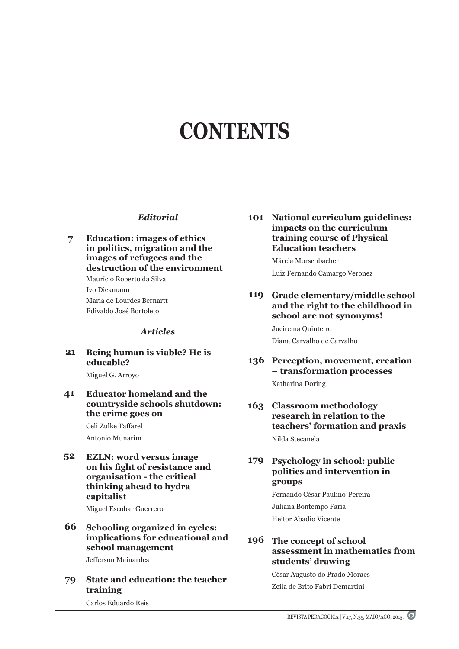# **CONTENTS**

## *Editorial*

**Education: images of ethics in politics, migration and the images of refugees and the destruction of the environment** Maurício Roberto da Silva Ivo Dickmann Maria de Lourdes Bernartt Edivaldo José Bortoleto **7**

## *Articles*

#### **Being human is viable? He is educable? 21**

Miguel G. Arroyo

#### **Educator homeland and the countryside schools shutdown: the crime goes on 41**

Celi Zulke Taffarel Antonio Munarim

**Ezln: word versus image on his fight of resistance and organisation - the critical thinking ahead to hydra capitalist 52**

Miguel Escobar Guerrero

**Schooling organized in cycles: implications for educational and school management 66**

Jefferson Mainardes

**State and education: the teacher training 79**

**National curriculum guidelines: 101 impacts on the curriculum training course of Physical Education teachers**

> Márcia Morschbacher Luiz Fernando Camargo Veronez

**Grade elementary/middle school and the right to the childhood in school are not synonyms! 119**

> Jucirema Quinteiro Diana Carvalho de Carvalho

- 136 Perception, movement, creation **– transformation processes** Katharina Doring
- **Classroom methodology 163 research in relation to the teachers' formation and praxis** Nilda Stecanela

#### **Psychology in school: public politics and intervention in groups 179**

Fernando César Paulino-Pereira Juliana Bontempo Faria Heitor Abadio Vicente

# **The concept of school 196assessment in mathematics from students' drawing**

César Augusto do Prado Moraes Zeila de Brito Fabri Demartini

Carlos Eduardo Reis